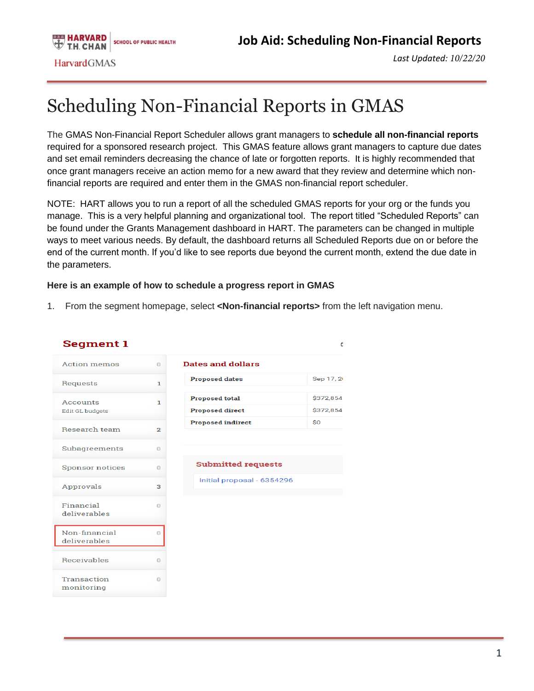*Last Updated: 10/22/20*

## Scheduling Non-Financial Reports in GMAS

The GMAS Non-Financial Report Scheduler allows grant managers to **schedule all non-financial reports**  required for a sponsored research project. This GMAS feature allows grant managers to capture due dates and set email reminders decreasing the chance of late or forgotten reports. It is highly recommended that once grant managers receive an action memo for a new award that they review and determine which nonfinancial reports are required and enter them in the GMAS non-financial report scheduler.

NOTE: HART allows you to run a report of all the scheduled GMAS reports for your org or the funds you manage. This is a very helpful planning and organizational tool. The report titled "Scheduled Reports" can be found under the Grants Management dashboard in HART. The parameters can be changed in multiple ways to meet various needs. By default, the dashboard returns all Scheduled Reports due on or before the end of the current month. If you'd like to see reports due beyond the current month, extend the due date in the parameters.

## **Here is an example of how to schedule a progress report in GMAS**

1. From the segment homepage, select **<Non-financial reports>** from the left navigation menu.

| Segment 1                          |                |                                                 |                        |
|------------------------------------|----------------|-------------------------------------------------|------------------------|
| <b>Action memos</b>                | $\Omega$       | Dates and dollars                               |                        |
| Requests                           | 1              | <b>Proposed dates</b>                           | Sep 17, 2              |
| Accounts<br><b>Edit GL budgets</b> | ı              | <b>Proposed total</b><br><b>Proposed direct</b> | \$372,854<br>\$372,854 |
| <b>Research team</b>               | $\overline{2}$ | <b>Proposed indirect</b>                        | \$0                    |
| Subagreements                      | $\Omega$       |                                                 |                        |
| <b>Sponsor notices</b>             | $\Omega$       | <b>Submitted requests</b>                       |                        |
| Approvals                          | 3              | Initial proposal - 6354296                      |                        |
| Financial<br>deliverables          | $\Omega$       |                                                 |                        |
| Non-financial<br>deliverables      | $\Omega$       |                                                 |                        |
| <b>Receivables</b>                 | o              |                                                 |                        |
| <b>Transaction</b>                 | 0              |                                                 |                        |

monitoring